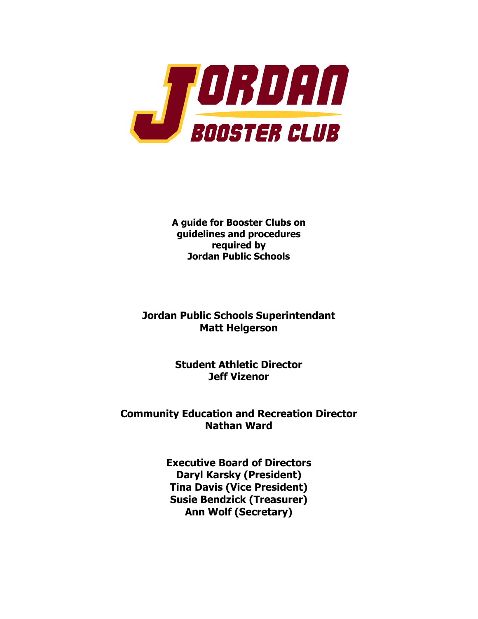

**A guide for Booster Clubs on guidelines and procedures required by Jordan Public Schools**

**Jordan Public Schools Superintendant Matt Helgerson**

> **Student Athletic Director Jeff Vizenor**

**Community Education and Recreation Director Nathan Ward**

> **Executive Board of Directors Daryl Karsky (President) Tina Davis (Vice President) Susie Bendzick (Treasurer) Ann Wolf (Secretary)**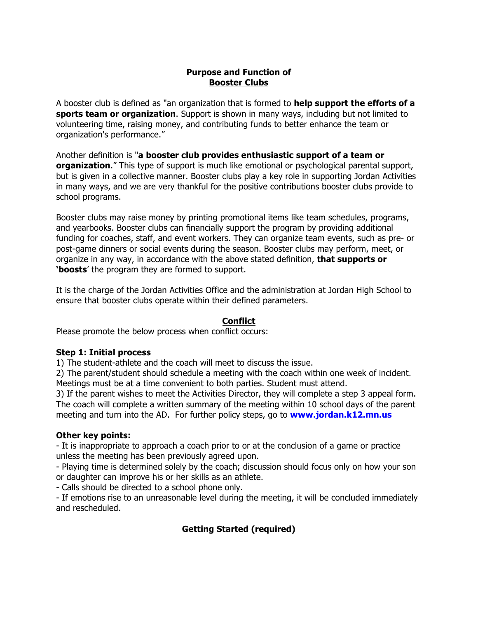### **Purpose and Function of Booster Clubs**

A booster club is defined as "an organization that is formed to **help support the efforts of a sports team or organization**. Support is shown in many ways, including but not limited to volunteering time, raising money, and contributing funds to better enhance the team or organization's performance."

Another definition is "**a booster club provides enthusiastic support of a team or organization**." This type of support is much like emotional or psychological parental support, but is given in a collective manner. Booster clubs play a key role in supporting Jordan Activities in many ways, and we are very thankful for the positive contributions booster clubs provide to school programs.

Booster clubs may raise money by printing promotional items like team schedules, programs, and yearbooks. Booster clubs can financially support the program by providing additional funding for coaches, staff, and event workers. They can organize team events, such as pre- or post-game dinners or social events during the season. Booster clubs may perform, meet, or organize in any way, in accordance with the above stated definition, **that supports or 'boosts**' the program they are formed to support.

It is the charge of the Jordan Activities Office and the administration at Jordan High School to ensure that booster clubs operate within their defined parameters.

## **Conflict**

Please promote the below process when conflict occurs:

#### **Step 1: Initial process**

1) The student-athlete and the coach will meet to discuss the issue.

2) The parent/student should schedule a meeting with the coach within one week of incident. Meetings must be at a time convenient to both parties. Student must attend.

3) If the parent wishes to meet the Activities Director, they will complete a step 3 appeal form. The coach will complete a written summary of the meeting within 10 school days of the parent meeting and turn into the AD. For further policy steps, go to **www.jordan.k12.mn.us**

#### **Other key points:**

- It is inappropriate to approach a coach prior to or at the conclusion of a game or practice unless the meeting has been previously agreed upon.

- Playing time is determined solely by the coach; discussion should focus only on how your son or daughter can improve his or her skills as an athlete.

- Calls should be directed to a school phone only.

- If emotions rise to an unreasonable level during the meeting, it will be concluded immediately and rescheduled.

## **Getting Started (required)**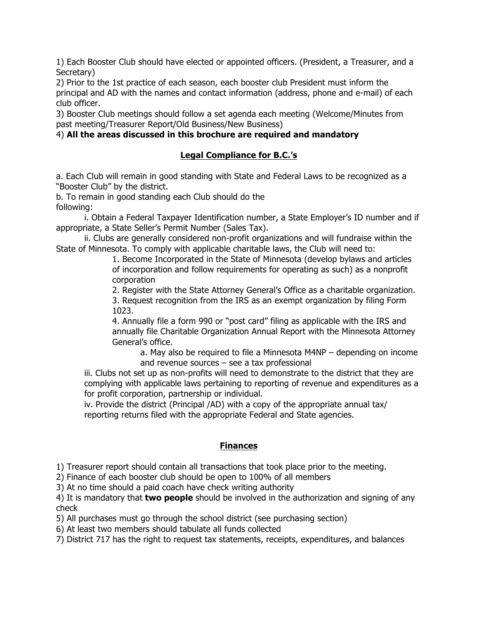1) Each Booster Club should have elected or appointed officers. (President, a Treasurer, and a Secretary)

2) Prior to the 1st practice of each season, each booster club President must inform the principal and AD with the names and contact information (address, phone and e-mail) of each club officer.

3) Booster Club meetings should follow a set agenda each meeting (Welcome/Minutes from past meeting/Treasurer Report/Old Business/New Business)

## 4) **All the areas discussed in this brochure are required and mandatory**

## **Legal Compliance for B.C.'s**

a. Each Club will remain in good standing with State and Federal Laws to be recognized as a "Booster Club" by the district.

b. To remain in good standing each Club should do the following:

i. Obtain a Federal Taxpayer Identification number, a State Employer's ID number and if appropriate, a State Seller's Permit Number (Sales Tax).

ii. Clubs are generally considered non-profit organizations and will fundraise within the State of Minnesota. To comply with applicable charitable laws, the Club will need to:

1. Become Incorporated in the State of Minnesota (develop bylaws and articles of incorporation and follow requirements for operating as such) as a nonprofit corporation

2. Register with the State Attorney General's Office as a charitable organization.

3. Request recognition from the IRS as an exempt organization by filing Form 1023.

4. Annually file a form 990 or "post card" filing as applicable with the IRS and annually file Charitable Organization Annual Report with the Minnesota Attorney General's office.

a. May also be required to file a Minnesota M4NP – depending on income and revenue sources – see a tax professional

iii. Clubs not set up as non-profits will need to demonstrate to the district that they are complying with applicable laws pertaining to reporting of revenue and expenditures as a for profit corporation, partnership or individual.

iv. Provide the district (Principal /AD) with a copy of the appropriate annual tax/ reporting returns filed with the appropriate Federal and State agencies.

# **Finances**

1) Treasurer report should contain all transactions that took place prior to the meeting.

2) Finance of each booster club should be open to 100% of all members

3) At no time should a paid coach have check writing authority

4) It is mandatory that **two people** should be involved in the authorization and signing of any check

5) All purchases must go through the school district (see purchasing section)

6) At least two members should tabulate all funds collected

7) District 717 has the right to request tax statements, receipts, expenditures, and balances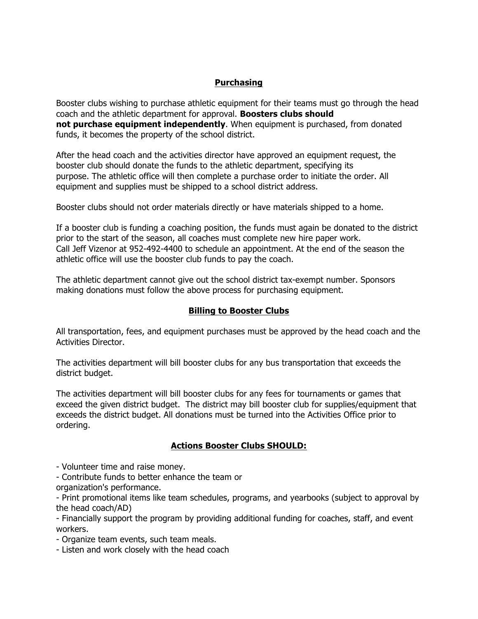# **Purchasing**

Booster clubs wishing to purchase athletic equipment for their teams must go through the head coach and the athletic department for approval. **Boosters clubs should not purchase equipment independently**. When equipment is purchased, from donated funds, it becomes the property of the school district.

After the head coach and the activities director have approved an equipment request, the booster club should donate the funds to the athletic department, specifying its purpose. The athletic office will then complete a purchase order to initiate the order. All equipment and supplies must be shipped to a school district address.

Booster clubs should not order materials directly or have materials shipped to a home.

If a booster club is funding a coaching position, the funds must again be donated to the district prior to the start of the season, all coaches must complete new hire paper work. Call Jeff Vizenor at 952-492-4400 to schedule an appointment. At the end of the season the athletic office will use the booster club funds to pay the coach.

The athletic department cannot give out the school district tax-exempt number. Sponsors making donations must follow the above process for purchasing equipment.

#### **Billing to Booster Clubs**

All transportation, fees, and equipment purchases must be approved by the head coach and the Activities Director.

The activities department will bill booster clubs for any bus transportation that exceeds the district budget.

The activities department will bill booster clubs for any fees for tournaments or games that exceed the given district budget. The district may bill booster club for supplies/equipment that exceeds the district budget. All donations must be turned into the Activities Office prior to ordering.

#### **Actions Booster Clubs SHOULD:**

- Volunteer time and raise money.
- Contribute funds to better enhance the team or

organization's performance.

- Print promotional items like team schedules, programs, and yearbooks (subject to approval by the head coach/AD)

- Financially support the program by providing additional funding for coaches, staff, and event workers.

- Organize team events, such team meals.
- Listen and work closely with the head coach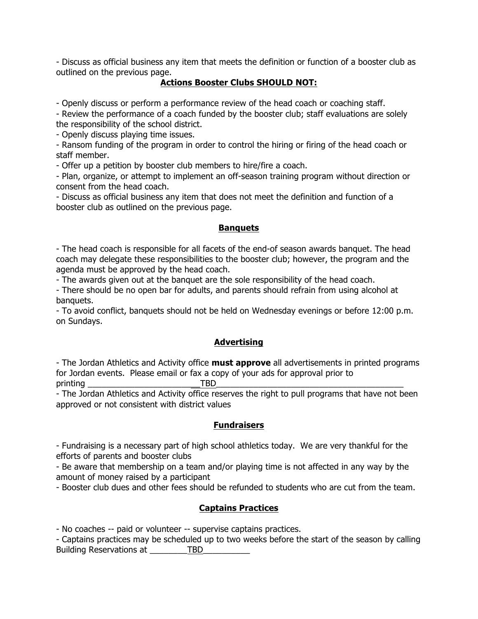- Discuss as official business any item that meets the definition or function of a booster club as outlined on the previous page.

## **Actions Booster Clubs SHOULD NOT:**

- Openly discuss or perform a performance review of the head coach or coaching staff.

- Review the performance of a coach funded by the booster club; staff evaluations are solely the responsibility of the school district.

- Openly discuss playing time issues.

- Ransom funding of the program in order to control the hiring or firing of the head coach or staff member.

- Offer up a petition by booster club members to hire/fire a coach.

- Plan, organize, or attempt to implement an off-season training program without direction or consent from the head coach.

- Discuss as official business any item that does not meet the definition and function of a booster club as outlined on the previous page.

#### **Banquets**

- The head coach is responsible for all facets of the end-of season awards banquet. The head coach may delegate these responsibilities to the booster club; however, the program and the agenda must be approved by the head coach.

- The awards given out at the banquet are the sole responsibility of the head coach.

- There should be no open bar for adults, and parents should refrain from using alcohol at banquets.

- To avoid conflict, banquets should not be held on Wednesday evenings or before 12:00 p.m. on Sundays.

#### **Advertising**

- The Jordan Athletics and Activity office **must approve** all advertisements in printed programs for Jordan events. Please email or fax a copy of your ads for approval prior to printing \_\_\_\_\_\_\_\_\_\_\_\_\_\_\_\_\_\_\_\_\_\_\_\_TBD\_\_\_\_\_\_\_\_\_\_\_\_\_\_\_\_\_\_\_\_\_\_\_\_\_\_\_\_\_\_\_\_\_\_\_\_\_\_\_\_

- The Jordan Athletics and Activity office reserves the right to pull programs that have not been approved or not consistent with district values

#### **Fundraisers**

- Fundraising is a necessary part of high school athletics today. We are very thankful for the efforts of parents and booster clubs

- Be aware that membership on a team and/or playing time is not affected in any way by the amount of money raised by a participant

- Booster club dues and other fees should be refunded to students who are cut from the team.

## **Captains Practices**

- No coaches -- paid or volunteer -- supervise captains practices.

- Captains practices may be scheduled up to two weeks before the start of the season by calling Building Reservations at \_\_\_\_\_\_\_\_TBD\_\_\_\_\_\_\_\_\_\_